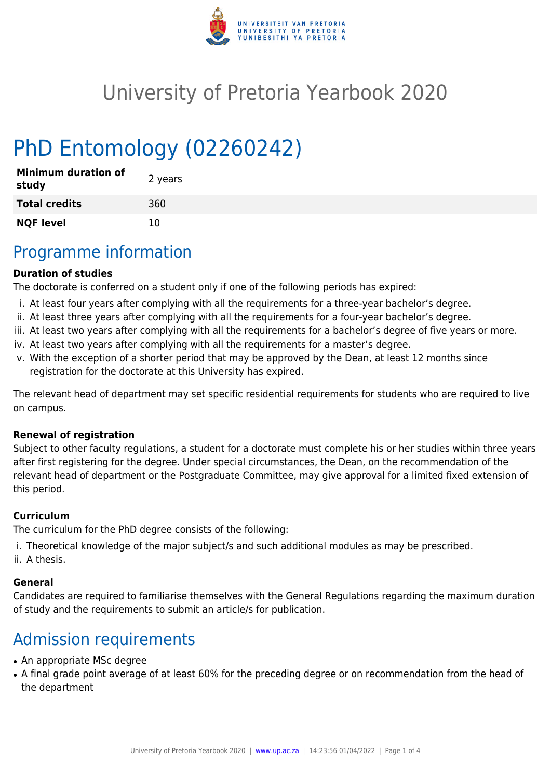

## University of Pretoria Yearbook 2020

# PhD Entomology (02260242)

| <b>Minimum duration of</b><br>study | 2 years |
|-------------------------------------|---------|
| <b>Total credits</b>                | 360     |
| <b>NQF level</b>                    | 10      |

### Programme information

#### **Duration of studies**

The doctorate is conferred on a student only if one of the following periods has expired:

- i. At least four years after complying with all the requirements for a three-year bachelor's degree.
- ii. At least three years after complying with all the requirements for a four-year bachelor's degree.
- iii. At least two years after complying with all the requirements for a bachelor's degree of five years or more.
- iv. At least two years after complying with all the requirements for a master's degree.
- v. With the exception of a shorter period that may be approved by the Dean, at least 12 months since registration for the doctorate at this University has expired.

The relevant head of department may set specific residential requirements for students who are required to live on campus.

#### **Renewal of registration**

Subject to other faculty regulations, a student for a doctorate must complete his or her studies within three years after first registering for the degree. Under special circumstances, the Dean, on the recommendation of the relevant head of department or the Postgraduate Committee, may give approval for a limited fixed extension of this period.

#### **Curriculum**

The curriculum for the PhD degree consists of the following:

- i. Theoretical knowledge of the major subject/s and such additional modules as may be prescribed.
- ii. A thesis.

#### **General**

Candidates are required to familiarise themselves with the General Regulations regarding the maximum duration of study and the requirements to submit an article/s for publication.

### Admission requirements

- An appropriate MSc degree
- A final grade point average of at least 60% for the preceding degree or on recommendation from the head of the department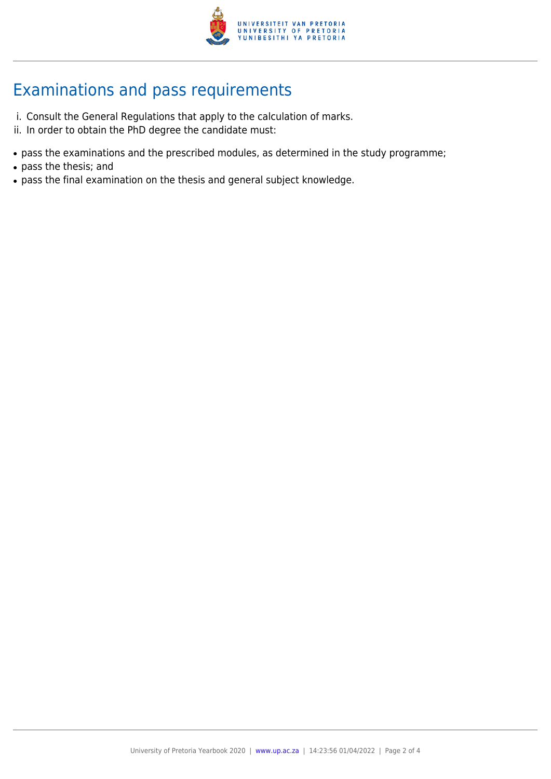

### Examinations and pass requirements

- i. Consult the General Regulations that apply to the calculation of marks.
- ii. In order to obtain the PhD degree the candidate must:
- pass the examinations and the prescribed modules, as determined in the study programme;
- pass the thesis; and
- pass the final examination on the thesis and general subject knowledge.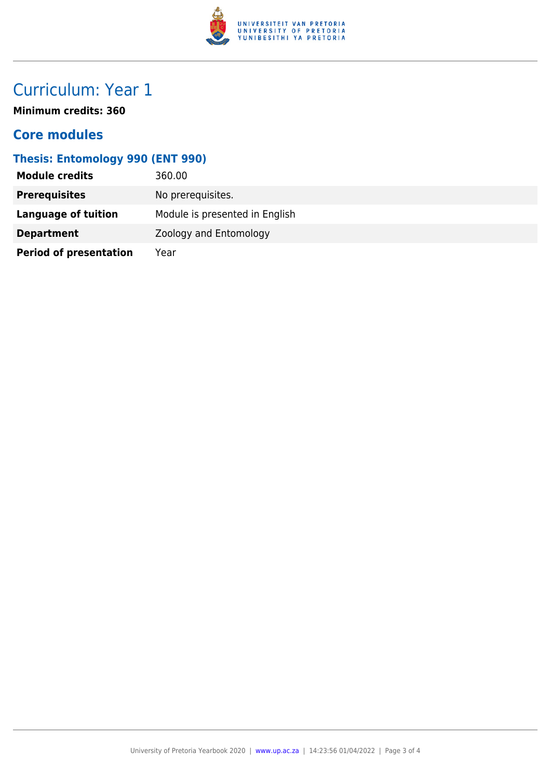

### Curriculum: Year 1

**Minimum credits: 360**

### **Core modules**

#### **Thesis: Entomology 990 (ENT 990)**

| <b>Module credits</b>         | 360.00                         |
|-------------------------------|--------------------------------|
| <b>Prerequisites</b>          | No prerequisites.              |
| Language of tuition           | Module is presented in English |
| <b>Department</b>             | Zoology and Entomology         |
| <b>Period of presentation</b> | Year                           |